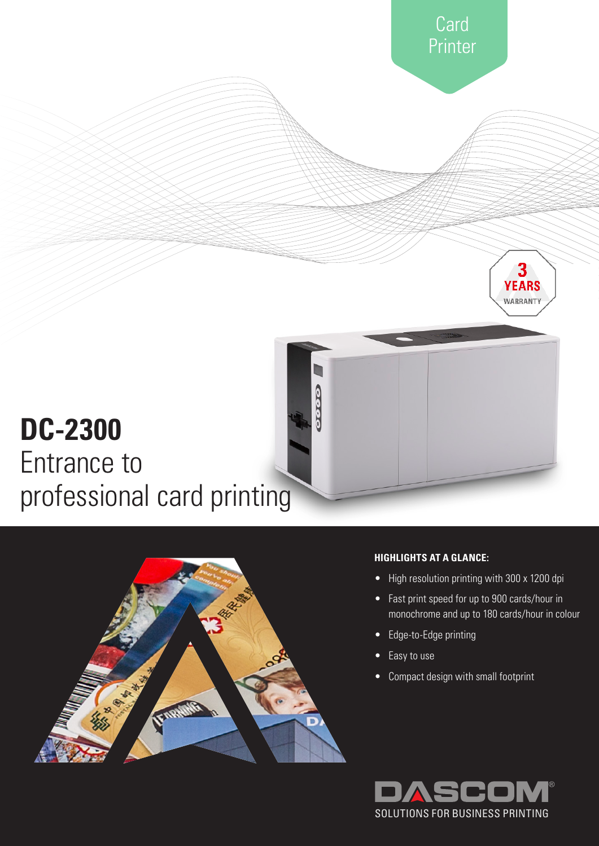



# **HIGHLIGHTS AT A GLANCE:**

- High resolution printing with 300 x 1200 dpi
- Fast print speed for up to 900 cards/hour in monochrome and up to 180 cards/hour in colour
- Edge-to-Edge printing
- Easy to use
- Compact design with small footprint